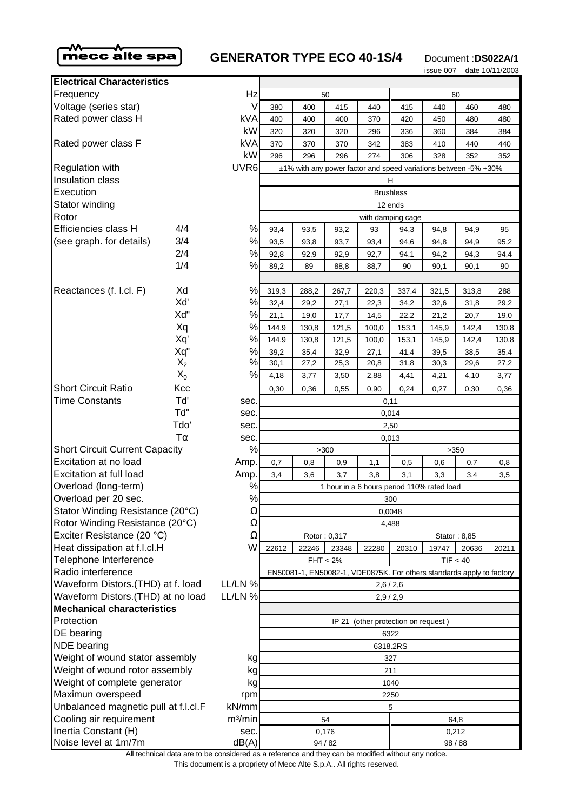

## **GENERATOR TYPE ECO 40-1S/4** Document :DS022A/1

issue 007 date 10/11/2003

|                                                                         |           |                     |                                                                 |                                                                    |                |               |                                     | <b>ISSUE UU</b> | $a$ ate 10/11/ |                      |  |
|-------------------------------------------------------------------------|-----------|---------------------|-----------------------------------------------------------------|--------------------------------------------------------------------|----------------|---------------|-------------------------------------|-----------------|----------------|----------------------|--|
| <b>Electrical Characteristics</b>                                       |           |                     |                                                                 |                                                                    |                |               |                                     |                 |                |                      |  |
| Frequency                                                               |           | Hz                  |                                                                 |                                                                    | 50             |               |                                     |                 | 60             |                      |  |
| Voltage (series star)                                                   |           | V                   | 380                                                             | 400                                                                | 415            | 440           | 415                                 | 440             | 460            | 48                   |  |
| Rated power class H                                                     |           | <b>kVA</b>          | 400                                                             | 400                                                                | 400            | 370           | 420                                 | 450             | 480            | 48                   |  |
|                                                                         |           | kW                  | 320                                                             | 320                                                                | 320            | 296           | 336                                 | 360             | 384            | 38                   |  |
| Rated power class F                                                     |           | kVA                 | 370                                                             | 370                                                                | 370            | 342           | 383                                 | 410             | 440            | 4                    |  |
|                                                                         |           | kW                  | 296                                                             | 296                                                                | 296            | 274           | 306                                 | 328             | 352            | 35                   |  |
| <b>Regulation with</b>                                                  |           | UVR <sub>6</sub>    | ±1% with any power factor and speed variations between -5% +30% |                                                                    |                |               |                                     |                 |                |                      |  |
| Insulation class                                                        |           |                     | н                                                               |                                                                    |                |               |                                     |                 |                |                      |  |
| Execution                                                               |           |                     | <b>Brushless</b>                                                |                                                                    |                |               |                                     |                 |                |                      |  |
| Stator winding                                                          |           |                     | 12 ends                                                         |                                                                    |                |               |                                     |                 |                |                      |  |
| Rotor                                                                   |           |                     | with damping cage                                               |                                                                    |                |               |                                     |                 |                |                      |  |
| Efficiencies class H                                                    | 4/4       | $\%$                | 93,4                                                            | 93,5                                                               | 93,2           | 93            | 94,3                                | 94,8            | 94,9           | 9                    |  |
| (see graph. for details)                                                | 3/4       | $\%$                | 93,5                                                            | 93,8                                                               | 93,7           | 93,4          | 94,6                                | 94,8            | 94,9           | 95                   |  |
|                                                                         | 2/4       | $\%$                | 92,8                                                            | 92,9                                                               | 92,9           | 92,7          | 94,1                                | 94,2            | 94,3           | 94                   |  |
|                                                                         | 1/4       | $\%$                | 89,2                                                            | 89                                                                 | 88,8           | 88,7          | 90                                  | 90,1            | 90,1           | 9                    |  |
| Reactances (f. l.cl. F)                                                 | Xd        | $\%$                |                                                                 |                                                                    |                |               |                                     |                 |                |                      |  |
|                                                                         | Xď        | $\%$                | 319,3                                                           | 288,2                                                              | 267,7          | 220,3         | 337,4                               | 321,5           | 313,8          | 28                   |  |
|                                                                         | Xd"       | $\%$                | 32,4<br>21,1                                                    | 29,2                                                               | 27,1           | 22,3          | 34,2<br>22,2                        | 32,6            | 31,8<br>20,7   | 29<br>1 <sup>5</sup> |  |
|                                                                         | Xq        | $\%$                | 144,9                                                           | 19,0<br>130,8                                                      | 17,7           | 14,5<br>100,0 |                                     | 21,2            | 142,4          | 13                   |  |
|                                                                         | Xq'       | $\%$                | 144,9                                                           | 130,8                                                              | 121,5<br>121,5 | 100,0         | 153,1<br>153,1                      | 145,9<br>145,9  | 142,4          | 13                   |  |
|                                                                         | Xq"       | $\%$                | 39,2                                                            | 35,4                                                               | 32,9           | 27,1          | 41,4                                | 39,5            | 38,5           | 35                   |  |
|                                                                         | $X_2$     | $\%$                | 30,1                                                            | 27,2                                                               | 25,3           | 20,8          | 31,8                                | 30,3            | 29,6           | 27                   |  |
|                                                                         | $X_0$     | $\%$                | 4,18                                                            | 3,77                                                               | 3,50           | 2,88          | 4,41                                | 4,21            | 4,10           | 3,                   |  |
| <b>Short Circuit Ratio</b>                                              | Kcc       |                     | 0,30                                                            | 0,36                                                               | 0,55           | 0,90          | 0,24                                | 0,27            | 0,30           | $\mathbf{0}$         |  |
| Time Constants                                                          | Td'       | sec.                | 0,11                                                            |                                                                    |                |               |                                     |                 |                |                      |  |
|                                                                         | Td"       | sec.                | 0,014                                                           |                                                                    |                |               |                                     |                 |                |                      |  |
|                                                                         | Tdo'      | sec.                | 2,50                                                            |                                                                    |                |               |                                     |                 |                |                      |  |
|                                                                         | $T\alpha$ | sec.                | 0,013                                                           |                                                                    |                |               |                                     |                 |                |                      |  |
| <b>Short Circuit Current Capacity</b>                                   |           | %                   | >300<br>>350                                                    |                                                                    |                |               |                                     |                 |                |                      |  |
| Excitation at no load                                                   |           | Amp.                | 0,7                                                             | 0,8                                                                | 0,9            | 1,1           | 0,5                                 | 0,6             | 0,7            | 0                    |  |
| Excitation at full load                                                 |           | Amp.                | 3,4                                                             | 3,6                                                                | 3,7            | 3,8           | 3,1                                 | 3,3             | 3,4            | 3                    |  |
| Overload (long-term)                                                    |           | $\%$                | 1 hour in a 6 hours period 110% rated load                      |                                                                    |                |               |                                     |                 |                |                      |  |
| Overload per 20 sec.                                                    |           | $\%$                | 300                                                             |                                                                    |                |               |                                     |                 |                |                      |  |
| Stator Winding Resistance (20°C)<br>Ω                                   |           | 0,0048              |                                                                 |                                                                    |                |               |                                     |                 |                |                      |  |
| Rotor Winding Resistance (20°C)                                         |           | Ω                   | 4,488                                                           |                                                                    |                |               |                                     |                 |                |                      |  |
| Exciter Resistance (20 °C)                                              |           | $\Omega$            |                                                                 |                                                                    | Rotor: 0,317   |               |                                     |                 | Stator: 8,85   |                      |  |
| Heat dissipation at f.l.cl.H                                            |           | W                   | 22612                                                           | 22246                                                              | 23348          | 22280         | 20310                               | 19747           | 20636          | 202                  |  |
| Telephone Interference                                                  |           |                     | TIF < 40<br>$FHT < 2\%$                                         |                                                                    |                |               |                                     |                 |                |                      |  |
| Radio interference                                                      |           |                     |                                                                 | EN50081-1, EN50082-1, VDE0875K. For others standards apply to fact |                |               |                                     |                 |                |                      |  |
|                                                                         |           | LL/LN %             | 2,6/2,6                                                         |                                                                    |                |               |                                     |                 |                |                      |  |
| Waveform Distors.(THD) at f. load<br>Waveform Distors. (THD) at no load |           | LL/LN %             | 2,9/2,9                                                         |                                                                    |                |               |                                     |                 |                |                      |  |
| <b>Mechanical characteristics</b>                                       |           |                     |                                                                 |                                                                    |                |               |                                     |                 |                |                      |  |
| Protection                                                              |           |                     |                                                                 |                                                                    |                |               | IP 21 (other protection on request) |                 |                |                      |  |
| DE bearing                                                              |           | 6322                |                                                                 |                                                                    |                |               |                                     |                 |                |                      |  |
| <b>NDE</b> bearing                                                      |           | 6318.2RS            |                                                                 |                                                                    |                |               |                                     |                 |                |                      |  |
| Weight of wound stator assembly<br>kg                                   |           | 327                 |                                                                 |                                                                    |                |               |                                     |                 |                |                      |  |
| Weight of wound rotor assembly<br>kg                                    |           | 211                 |                                                                 |                                                                    |                |               |                                     |                 |                |                      |  |
| Weight of complete generator<br>kg                                      |           | 1040                |                                                                 |                                                                    |                |               |                                     |                 |                |                      |  |
| Maximun overspeed                                                       |           | rpm                 |                                                                 |                                                                    |                |               | 2250                                |                 |                |                      |  |
| Unbalanced magnetic pull at f.l.cl.F<br>kN/mm                           |           | 5                   |                                                                 |                                                                    |                |               |                                     |                 |                |                      |  |
| Cooling air requirement                                                 |           | m <sup>3</sup> /min | 54<br>64,8                                                      |                                                                    |                |               |                                     |                 |                |                      |  |
| Inertia Constant (H)                                                    |           | sec.<br>dB(A)       | 0,176<br>0,212                                                  |                                                                    |                |               |                                     |                 |                |                      |  |
| Noise level at 1m/7m                                                    |           |                     | 94 / 82                                                         |                                                                    |                |               | 98 / 88                             |                 |                |                      |  |

| Electrical Unaracteristics                                     |             |                                       |                                                                 |                  |              |       |       |                                                                                                                              |       |       |  |  |
|----------------------------------------------------------------|-------------|---------------------------------------|-----------------------------------------------------------------|------------------|--------------|-------|-------|------------------------------------------------------------------------------------------------------------------------------|-------|-------|--|--|
| Frequency                                                      | Hz          |                                       | 50                                                              |                  |              |       | 60    |                                                                                                                              |       |       |  |  |
| Voltage (series star)                                          |             | V                                     | 380                                                             | 400              | 415          | 440   | 415   | 440                                                                                                                          | 460   | 480   |  |  |
| Rated power class H                                            |             | kVA                                   | 400                                                             | 400              | 400          | 370   | 420   | 450                                                                                                                          | 480   | 480   |  |  |
|                                                                |             | kW                                    | 320                                                             | 320              | 320          | 296   | 336   | 360                                                                                                                          | 384   | 384   |  |  |
| Rated power class F                                            |             | <b>kVA</b>                            | 370                                                             | 370              | 370          | 342   | 383   | 410                                                                                                                          | 440   | 440   |  |  |
|                                                                |             | kW                                    | 296                                                             | 296              | 296          | 274   | 306   | 328                                                                                                                          | 352   | 352   |  |  |
| <b>Regulation with</b>                                         |             | UVR <sub>6</sub>                      | ±1% with any power factor and speed variations between -5% +30% |                  |              |       |       |                                                                                                                              |       |       |  |  |
| <b>Insulation class</b>                                        |             |                                       | н                                                               |                  |              |       |       |                                                                                                                              |       |       |  |  |
| Execution                                                      |             |                                       |                                                                 | <b>Brushless</b> |              |       |       |                                                                                                                              |       |       |  |  |
| Stator winding                                                 |             |                                       |                                                                 | 12 ends          |              |       |       |                                                                                                                              |       |       |  |  |
| Rotor                                                          |             | with damping cage                     |                                                                 |                  |              |       |       |                                                                                                                              |       |       |  |  |
| Efficiencies class H                                           | 4/4         | %                                     | 93,4                                                            | 93,5             | 93,2         | 93    | 94,3  | 94,8                                                                                                                         | 94,9  | 95    |  |  |
| (see graph. for details)                                       | 3/4         | $\%$                                  | 93,5                                                            | 93,8             | 93,7         | 93,4  | 94,6  | 94,8                                                                                                                         | 94,9  | 95,2  |  |  |
|                                                                | 2/4         | $\%$                                  | 92,8                                                            | 92,9             | 92,9         | 92,7  | 94,1  | 94,2                                                                                                                         | 94,3  | 94,4  |  |  |
|                                                                | 1/4         | ℅                                     | 89,2                                                            | 89               | 88,8         | 88,7  | 90    | 90,1                                                                                                                         | 90,1  | 90    |  |  |
|                                                                |             |                                       |                                                                 |                  |              |       |       |                                                                                                                              |       |       |  |  |
| Reactances (f. l.cl. F)                                        | Xd          | %                                     | 319,3                                                           | 288,2            | 267,7        | 220,3 | 337,4 | 321,5                                                                                                                        | 313,8 | 288   |  |  |
|                                                                | Xď          | $\%$                                  | 32,4                                                            | 29,2             | 27,1         | 22,3  | 34,2  | 32,6                                                                                                                         | 31,8  | 29,2  |  |  |
|                                                                | Xd"         | ℅                                     | 21,1                                                            | 19,0             | 17,7         | 14,5  | 22,2  | 21,2                                                                                                                         | 20,7  | 19,0  |  |  |
|                                                                | Xq          | %                                     | 144,9                                                           | 130,8            | 121,5        | 100,0 | 153,1 | 145,9                                                                                                                        | 142,4 | 130,8 |  |  |
|                                                                | Xq'         | $\%$                                  | 144,9                                                           | 130,8            | 121,5        | 100,0 | 153,1 | 145,9                                                                                                                        | 142,4 | 130,8 |  |  |
|                                                                | Xq"         | $\%$                                  | 39,2                                                            | 35,4             | 32,9         | 27,1  | 41,4  | 39,5                                                                                                                         | 38,5  | 35,4  |  |  |
|                                                                | $X_2$       | $\%$                                  | 30,1                                                            | 27,2             | 25,3         | 20,8  | 31,8  | 30,3                                                                                                                         | 29,6  | 27,2  |  |  |
|                                                                | $X_0$       | %                                     | 4,18                                                            | 3,77             | 3,50         | 2,88  | 4,41  | 4,21                                                                                                                         | 4,10  | 3,77  |  |  |
| <b>Short Circuit Ratio</b><br><b>Time Constants</b>            | Kcc         |                                       | 0,30<br>0,36<br>0,55<br>0,90<br>0,24<br>0,27<br>0,30<br>0,36    |                  |              |       |       |                                                                                                                              |       |       |  |  |
|                                                                | Td'         | sec.                                  | 0,11                                                            |                  |              |       |       |                                                                                                                              |       |       |  |  |
|                                                                | Td"<br>Tdo' | sec.                                  | 0,014                                                           |                  |              |       |       |                                                                                                                              |       |       |  |  |
|                                                                | $T\alpha$   | sec.                                  | 2,50                                                            |                  |              |       |       |                                                                                                                              |       |       |  |  |
|                                                                |             | sec.<br>%                             | 0,013                                                           |                  |              |       |       |                                                                                                                              |       |       |  |  |
| <b>Short Circuit Current Capacity</b><br>Excitation at no load |             | Amp.                                  | 0,7                                                             | >300<br>>350     |              |       |       |                                                                                                                              |       |       |  |  |
|                                                                |             | Amp.                                  |                                                                 | 0,8              | 0,9          | 1,1   | 0,5   | 0,6                                                                                                                          | 0,7   | 0,8   |  |  |
| Excitation at full load                                        |             | $\%$                                  | 3,7<br>3,8<br>3,3<br>3,4<br>3,6<br>3,1<br>3,4<br>3,5            |                  |              |       |       |                                                                                                                              |       |       |  |  |
| Overload (long-term)<br>Overload per 20 sec.                   |             | $\%$                                  | 1 hour in a 6 hours period 110% rated load                      |                  |              |       |       |                                                                                                                              |       |       |  |  |
| Stator Winding Resistance (20°C)                               |             | Ω                                     | 300<br>0,0048                                                   |                  |              |       |       |                                                                                                                              |       |       |  |  |
| Rotor Winding Resistance (20°C)                                |             | Ω                                     |                                                                 |                  |              | 4,488 |       |                                                                                                                              |       |       |  |  |
| Exciter Resistance (20 °C)                                     |             | Ω                                     |                                                                 |                  | Rotor: 0,317 |       |       |                                                                                                                              |       |       |  |  |
| Heat dissipation at f.l.cl.H                                   |             | W                                     | 22612                                                           | 22246            | 23348        | 22280 | 20310 |                                                                                                                              |       |       |  |  |
| Telephone Interference                                         |             |                                       |                                                                 |                  | $FHT < 2\%$  |       |       |                                                                                                                              |       |       |  |  |
| Radio interference                                             |             |                                       |                                                                 |                  |              |       |       | Stator: 8,85<br>20636<br>19747<br>20211<br>TIF < 40<br>EN50081-1, EN50082-1, VDE0875K. For others standards apply to factory |       |       |  |  |
| Waveform Distors.(THD) at f. load                              |             | LL/LN %                               |                                                                 |                  |              |       |       |                                                                                                                              |       |       |  |  |
| Waveform Distors. (THD) at no load                             |             | LL/LN %                               | 2,6/2,6<br>2,9/2,9                                              |                  |              |       |       |                                                                                                                              |       |       |  |  |
| <b>Mechanical characteristics</b>                              |             |                                       |                                                                 |                  |              |       |       |                                                                                                                              |       |       |  |  |
| Protection                                                     |             |                                       |                                                                 |                  | IP 21        |       |       |                                                                                                                              |       |       |  |  |
| DE bearing                                                     |             | (other protection on request)<br>6322 |                                                                 |                  |              |       |       |                                                                                                                              |       |       |  |  |
| <b>NDE</b> bearing                                             |             | 6318.2RS                              |                                                                 |                  |              |       |       |                                                                                                                              |       |       |  |  |
| Weight of wound stator assembly<br>kg                          |             | 327                                   |                                                                 |                  |              |       |       |                                                                                                                              |       |       |  |  |
| Weight of wound rotor assembly<br>kg                           |             | 211                                   |                                                                 |                  |              |       |       |                                                                                                                              |       |       |  |  |
| Weight of complete generator<br>kg                             |             | 1040                                  |                                                                 |                  |              |       |       |                                                                                                                              |       |       |  |  |
| Maximun overspeed<br>rpm                                       |             | 2250                                  |                                                                 |                  |              |       |       |                                                                                                                              |       |       |  |  |
| Unbalanced magnetic pull at f.l.cl.F                           |             | kN/mm                                 |                                                                 |                  |              |       | 5     |                                                                                                                              |       |       |  |  |
| Cooling air requirement                                        |             | m <sup>3</sup> /min                   | 54<br>64,8                                                      |                  |              |       |       |                                                                                                                              |       |       |  |  |
| Inertia Constant (H)                                           |             | sec.                                  | 0,176                                                           |                  |              |       | 0,212 |                                                                                                                              |       |       |  |  |
| Noise level at 1m/7m                                           |             | dB(A)                                 | 94/82                                                           |                  |              |       | 98/88 |                                                                                                                              |       |       |  |  |

All technical data are to be considered as a reference and they can be modified without any notice. This document is a propriety of Mecc Alte S.p.A.. All rights reserved.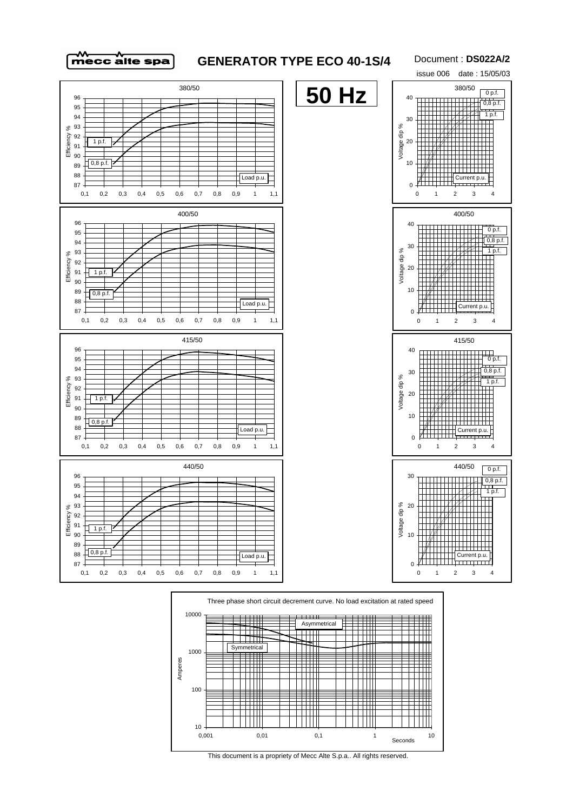

## **GENERATOR TYPE ECO 40-1S/4**

Document : **DS022A/2**







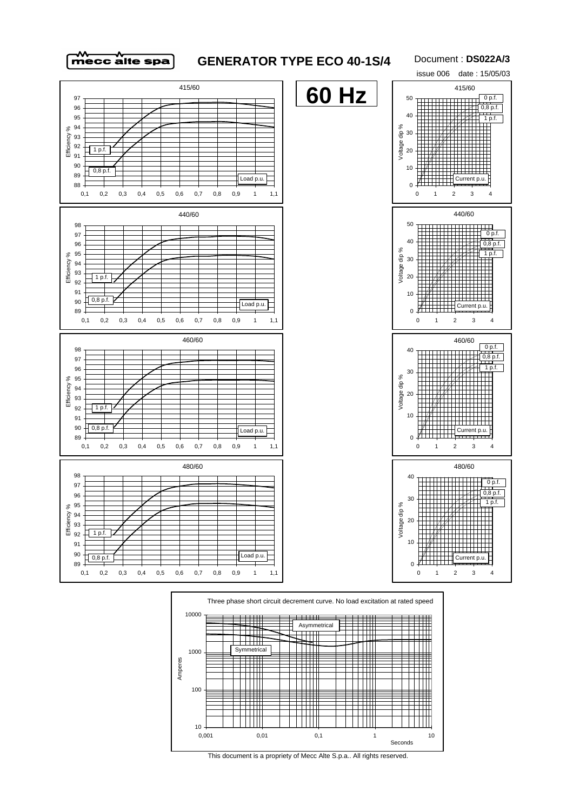

## **GENERATOR TYPE ECO 40-1S/4**

Document : **DS022A/3**







This document is a propriety of Mecc Alte S.p.a.. All rights reserved.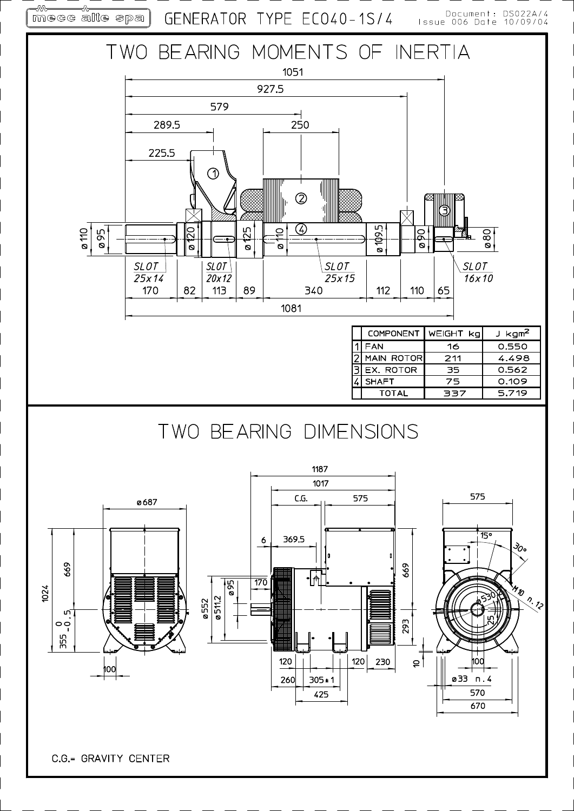